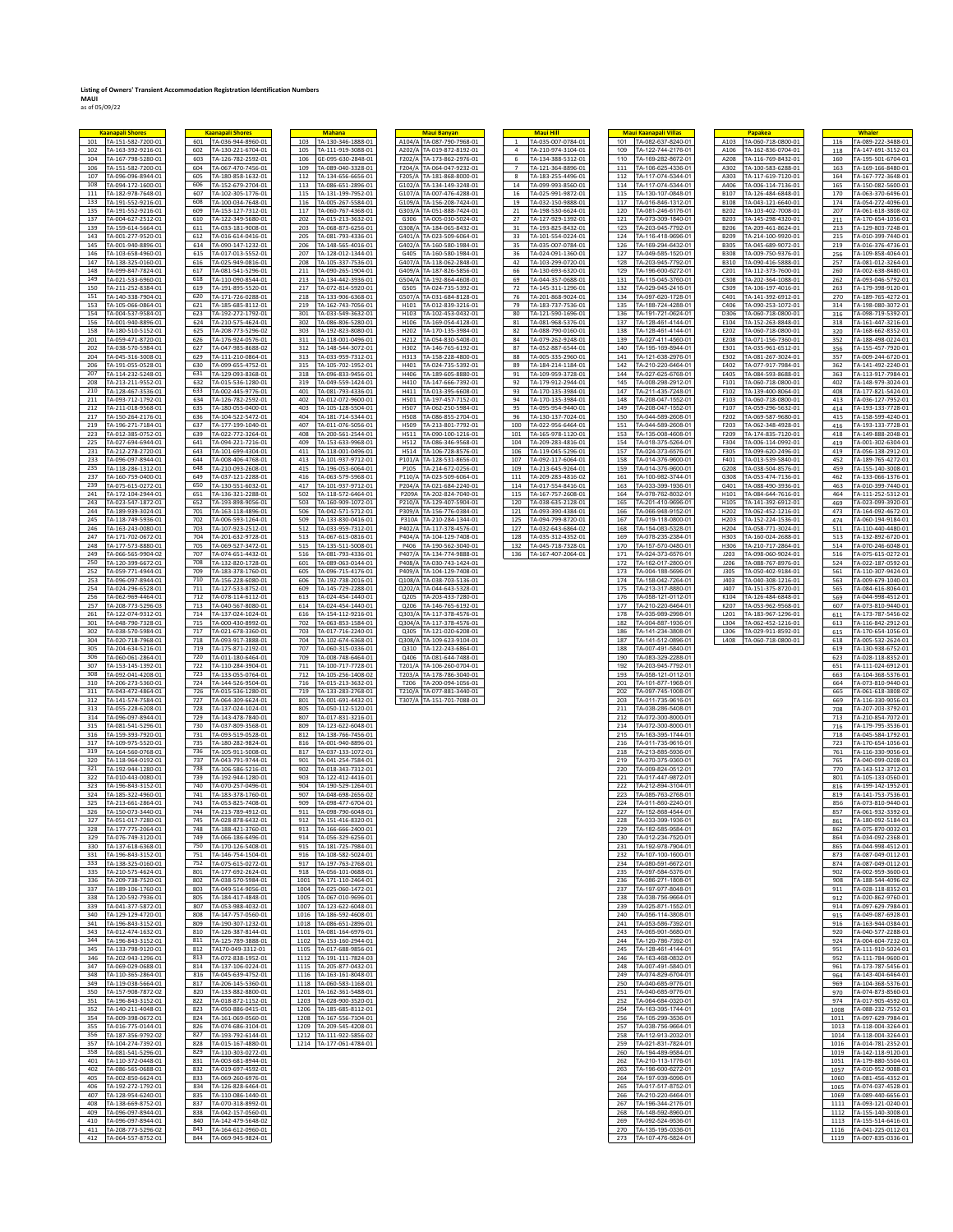## **Listing of Owners' Transient Accommodation Registration Identification Numbers MAUI** as of 05/09/22

| <b>Kaanapali Shores</b>                                | <b>Kaanapali Shores</b>                                | <b>Mahana</b>                                            | <b>Maui Banyan</b>                                              | <b>Maui Hill</b>                                                           | <b>Maui Kaanapali Villas</b>                           | Papakea                                                                | <b>Whaler</b>                                            |
|--------------------------------------------------------|--------------------------------------------------------|----------------------------------------------------------|-----------------------------------------------------------------|----------------------------------------------------------------------------|--------------------------------------------------------|------------------------------------------------------------------------|----------------------------------------------------------|
| TA-151-582-7200-01<br>101<br>102<br>TA-163-392-9216-01 | 601 TA-036-944-8960-01<br>TA-130-221-6704-01<br>602    | TA-130-346-1888-01<br>103<br>TA-111-919-3088-01<br>105   | A104/A TA-087-790-7968-01<br>A202/A TA-019-872-8192-01          | TA-035-007-0784-01<br>$\overline{1}$<br>$\mathbf{A}$<br>TA-210-974-3104-01 | TA-082-637-8240-01<br>101<br>109<br>TA-122-744-2176-01 | TA-060-718-0800-01<br>A103<br>TA-162-836-0704-01<br>A106               | TA-089-222-3488-01<br>116<br>TA-147-691-3152-01<br>118   |
| 104<br>TA-167-798-5280-01                              | 603<br>TA-126-782-2592-01                              | 106<br>GE-095-630-2848-01                                | F202/A TA-173-862-2976-01                                       | 6<br>TA-134-388-5312-01                                                    | 110<br>TA-169-282-8672-01                              | TA-116-769-8432-01<br>A208                                             | TA-195-501-6704-01<br>160                                |
| TA-151-582-7200-01<br>106<br>107<br>TA-096-096-8944-01 | 604 TA-067-470-7456-01<br>605<br>TA-180-858-1632-01    | TA-089-040-3328-01<br>109<br>112<br>TA-134-656-6656-01   | F204/A TA-064-047-9232-01<br>F205/A TA-181-868-8000-01          | TA-121-364-8896-01<br>$7^{\circ}$<br>8<br>TA-183-255-4496-01               | TA-106-625-4336-01<br>111<br>TA-117-074-5344-01<br>112 | A302<br>TA-100-583-6288-01<br>A303<br>TA-117-619-7120-01               | TA-169-166-8480-01<br>163<br>164<br>TA-167-772-3648-01   |
| 108<br>TA-094-172-1600-01                              | 606<br>TA-152-679-2704-01                              | 113<br>TA-086-651-2896-01                                | G102/A TA-134-149-3248-01                                       | 14<br>TA-099-993-8560-01                                                   | 114<br>TA-117-074-5344-01                              | A406<br>TA-006-114-7136-01                                             | TA-150-082-5600-01<br>165                                |
| 111<br>TA-182-978-7648-01<br>133<br>TA-191-552-9216-01 | 607<br>TA-102-305-1776-01<br>608<br>TA-100-034-7648-01 | 115<br>TA-131-199-7952-01<br>116<br>TA-005-267-5584-01   | G107/A TA-007-476-4288-01<br>G109/A TA-156-208-7424-01          | 16<br>TA-025-991-9872-01<br>19<br>TA-032-150-9888-01                       | TA-130-107-0848-01<br>115<br>117<br>TA-016-846-1312-01 | <b>B107</b><br>TA-126-484-6848-01<br><b>B108</b><br>TA-043-121-6640-01 | 170<br>TA-063-370-6496-01<br>174<br>TA-054-272-4096-01   |
| 135<br>TA-191-552-9216-01                              | 609<br>TA-153-127-7312-01                              | 117<br>TA-060-767-4368-01                                | G303/A TA-051-888-7424-01                                       | 21<br>TA-198-530-6624-01                                                   | 120<br>TA-081-246-6176-01                              | TA-103-402-7008-01<br><b>B202</b>                                      | 207<br>TA-061-618-3808-02                                |
| 137<br>TA-004-627-2512-01<br>139<br>TA-159-614-5664-01 | 610 TA-122-349-5680-01<br>611<br>TA-033-181-9008-01    | 202 TA-015-213-3632-01<br>203<br>TA-068-873-6256-01      | G306 TA-005-030-5024-01<br>G308/A TA-184-065-8432-01            | TA-127-929-1392-01<br>27<br>31<br>TA-193-825-8432-01                       | 121<br>TA-073-309-1840-01<br>123<br>TA-203-945-7792-01 | <b>B203</b><br>TA-145-298-4320-01<br><b>B206</b><br>TA-209-461-8624-01 | 211<br>TA-170-654-1056-01<br>213<br>TA-129-803-7248-01   |
| 143<br>TA-001-277-9520-01                              | 612<br>TA-016-614-0416-01                              | 205<br>TA-081-793-4336-01                                | G401/A TA-023-509-6064-01                                       | TA-101-554-0224-01<br>33                                                   | 124<br>TA-116-418-9696-01                              | TA-214-100-9920-01<br><b>B209</b>                                      | TA-010-399-7440-01<br>215                                |
| 145<br>TA-001-940-8896-01<br>146<br>TA-103-658-4960-01 | TA-090-147-1232-01<br>614<br>615<br>TA-017-013-5552-01 | 206<br>TA-148-565-4016-01<br>207<br>TA-128-012-1344-01   | G402/A TA-160-580-1984-01<br>G405<br>TA-160-580-1984-01         | 35<br>TA-035-007-0784-01<br>36<br>TA-024-091-1360-01                       | 126<br>TA-169-294-6432-01<br>127<br>TA-049-585-1520-01 | <b>B305</b><br>TA-045-689-9072-01<br><b>B308</b><br>TA-009-750-9376-01 | 219<br>TA-016-376-4736-01<br>256<br>TA-109-858-4064-01   |
| 147<br>TA-138-325-0160-01<br>148<br>TA-099-847-7824-01 | 616<br>TA-025-949-0816-01<br>617<br>TA-081-541-5296-01 | 208<br>TA-105-337-7536-01<br>211<br>TA-090-265-1904-01   | G407/A TA-118-062-2848-01<br>G409/A TA-187-826-5856-01          | 42<br>TA-103-299-0720-01<br>66<br>TA-130-693-6320-01                       | 128<br>TA-203-945-7792-01<br>129<br>TA-196-600-6272-01 | TA-090-416-5888-01<br><b>B310</b><br>C201<br>TA-112-373-7600-01        | 257<br>TA-081-012-3264-01<br>260<br>TA-002-638-8480-01   |
| 149<br>TA-021-533-6960-01                              | 618<br>TA-110-090-8544-01                              | 213 TA-134-442-3936-01                                   | G504/A TA-192-864-4608-01                                       | 69<br>TA-044-357-0688-01                                                   | 131<br>TA-115-045-3760-01                              | C308<br>TA-202-364-1088-01                                             | TA-093-046-5792-01<br>262                                |
| 150<br>TA-211-252-8384-01<br>151<br>TA-140-338-7904-01 | 619<br>TA-191-895-5520-01<br>620<br>TA-171-726-0288-01 | 217<br>TA-072-814-5920-01<br>218<br>TA-133-906-6368-01   | TA-024-735-5392-01<br>G505<br>G507/A<br>TA-031-684-8128-01      | 72<br>TA-145-311-1296-01<br>76<br>TA-201-868-9024-01                       | 132<br>TA-029-945-2416-01<br>134<br>TA-097-620-1728-01 | C309<br>TA-106-197-4016-01<br>TA-141-392-6912-01<br>C401               | 263<br>TA-179-398-9120-01<br>270<br>TA-189-765-4272-01   |
| 153<br>TA-105-066-0864-01                              | 621<br>TA-185-685-8112-01                              | 219<br>TA-162-743-7056-01                                | H101<br>TA-012-839-3216-01                                      | 79<br>TA-183-737-7536-01                                                   | 135<br>TA-188-724-4288-01                              | C406<br>TA-090-253-1072-01                                             | 314<br>TA-198-080-3072-01                                |
| 154<br>TA-004-537-9584-01<br>156<br>TA-001-940-8896-01 | TA-192-272-1792-01<br>623<br>624<br>TA-210-575-4624-01 | TA-033-549-3632-01<br>301<br>302<br>TA-086-806-5280-01   | TA-102-453-0432-01<br>H103<br>TA-169-054-4128-01<br>H106        | TA-121-590-1696-01<br>80<br>81<br>TA-081-968-5376-01                       | TA-191-721-0624-01<br>136<br>137<br>TA-128-461-4144-01 | D306<br>TA-060-718-0800-01<br>TA-152-263-8848-01<br>E104               | TA-098-719-5392-01<br>316<br>318<br>TA-161-447-3216-01   |
| 158<br>TA-180-510-5152-01                              | 625 TA-208-773-5296-02                                 | TA-192-823-8080-01<br>303                                | H202 TA-170-135-3984-01                                         | TA-088-790-0160-01<br>82                                                   | TA-128-461-4144-01<br>138                              | TA-060-718-0800-01<br>E202                                             | TA-168-662-8352-01<br>320                                |
| TA-059-471-8720-01<br>201<br>202<br>TA-038-570-5984-01 | TA-176-924-0576-01<br>626<br>627<br>TA-047-985-8688-02 | 311 TA-118-001-0496-01<br>312<br>TA-148-544-3072-01      | H212 TA-054-830-5408-01<br>H302<br>TA-146-765-6192-01           | TA-079-262-9248-01<br>84<br>87<br>TA-052-887-6544-01                       | TA-027-411-4560-01<br>139<br>140<br>TA-195-169-8944-01 | E208<br>TA-071-156-7360-01<br>E301<br>TA-035-961-6512-01               | TA-188-498-0224-01<br>352<br>TA-155-457-7920-01<br>356   |
| 204<br>TA-045-316-3008-01<br>206<br>TA-191-055-0528-01 | 629<br>TA-111-210-0864-01<br>630<br>TA-099-655-4752-01 | 313<br>TA-033-959-7312-01<br>315                         | H313<br>TA-158-228-4800-01<br>H401<br>TA-024-735-5392-01        | 88<br>TA-005-335-2960-01<br>89<br>TA-184-214-1184-01                       | 141<br>TA-121-638-2976-01<br>142<br>TA-210-220-6464-01 | E302<br>TA-081-267-3024-01<br>TA-077-917-7984-01                       | 357<br>TA-009-244-6720-01<br>362                         |
| 207<br>TA-114-232-5248-01                              | 631<br>TA-129-093-8368-01                              | TA-105-702-1952-01<br>318<br>TA-096-833-9456-01          | H406<br>TA-189-605-8880-01                                      | 91<br>TA-109-959-3728-01                                                   | 144<br>TA-027-625-6768-01                              | E402<br>TA-084-593-8688-01<br>E405                                     | TA-141-492-2240-01<br>363<br>TA-113-917-7984-01          |
| TA-213-211-9552-01<br>208<br>210<br>TA-128-467-3536-01 | TA-015-536-1280-01<br>632<br>633<br>TA-002-445-9776-01 | 319 TA-049-559-1424-01<br>401<br>TA-081-793-4336-01      | H410 TA-147-666-7392-01<br>H411<br>TA-013-395-6608-01           | 92 TA-179-912-2944-01<br>93<br>TA-170-135-3984-01                          | 145<br>TA-008-298-2912-01<br>147<br>TA-211-435-7248-01 | F101<br>TA-060-718-0800-01<br>F102<br>TA-139-400-8064-01               | 402<br>TA-148-979-3024-01<br>408<br>TA-177-821-5424-01   |
| 211<br>TA-093-712-1792-01                              | TA-126-782-2592-01<br>634                              | 402<br>TA-012-072-9600-01                                | TA-197-457-7152-01<br>H501                                      | 94<br>TA-170-135-3984-01                                                   | 148<br>TA-208-047-1552-01                              | F103<br>TA-060-718-0800-01                                             | 413<br>TA-036-127-7952-01                                |
| 212<br>TA-211-018-9568-01<br>217<br>TA-150-264-2176-01 | 635<br>TA-180-055-0400-01<br>636<br>TA-104-522-5472-01 | 403<br>TA-105-128-5504-01<br>404<br>TA-181-714-5344-01   | H507<br>TA-062-250-5984-01<br><b>H508</b><br>TA-086-855-2704-01 | 95<br>TA-095-954-9440-01<br>96<br>TA-130-137-7024-01                       | 149<br>TA-208-047-1552-01<br>150<br>TA-044-589-2608-01 | F107<br>TA-059-296-5632-01<br>F202<br>TA-069-587-9680-01               | 414<br>TA-193-133-7728-01<br>415<br>TA-158-599-4240-01   |
| 219<br>TA-196-271-7184-01                              | 637<br>TA-177-199-1040-01                              | 407<br>TA-011-076-5056-01                                | TA-213-801-7792-01<br>H509                                      | 100<br>TA-022-956-6464-01                                                  | TA-044-589-2608-01<br>151                              | TA-062-348-4928-01<br>F203                                             | TA-193-133-7728-01<br>416                                |
| TA-012-385-0752-01<br>223<br>225<br>TA-027-694-6944-01 | TA-022-772-3264-01<br>639<br>641<br>TA-094-221-7216-01 | 408 TA-200-561-2544-01<br>409<br>TA-153-633-9968-01      | H511 TA-090-100-1216-01<br>H512<br>TA-086-346-9568-01           | 101 TA-165-978-1120-01<br>104 TA-209-283-4816-01                           | TA-135-008-4608-01<br>153<br>154<br>TA-018-375-5264-01 | F209<br>TA-174-835-7120-01<br>F304<br>TA-006-114-0992-01               | TA-149-888-2048-01<br>418<br>TA-001-302-6304-01<br>419   |
| 231<br>TA-212-278-2720-01                              | 643<br>TA-101-699-4304-01                              | 411<br>TA-118-001-0496-01                                | H514<br>TA-106-728-8576-01                                      | 106<br>TA-119-045-5296-01                                                  | 157<br>TA-024-373-6576-01                              | F305<br>TA-099-620-2496-01                                             | 419<br>TA-056-138-2912-01                                |
| 233<br>A-096-097-8944-01<br>235<br>TA-118-286-1312-01  | 644<br>TA-008-406-4768-01<br>648<br>TA-210-093-2608-01 | 413<br>TA-101-937-9712-01<br>415<br>TA-196-053-6064-01   | P101/A TA-128-531-8656-01<br>P105<br>TA-214-672-0256-01         | 107<br>TA-092-117-6064-01<br>109<br>TA-213-645-9264-01                     | 158<br>TA-014-376-9600-01<br>159<br>TA-014-376-9600-01 | F401<br>TA-013-539-5840-01<br>G208<br>TA-038-504-8576-01               | 452<br>TA-189-765-4272-01<br>459<br>TA-155-140-3008-01   |
| 237<br>TA-160-759-0400-01<br>239<br>TA-075-615-0272-01 | 649<br>TA-037-121-2288-01<br>650<br>TA-130-551-6032-01 | TA-063-579-5968-01<br>416<br>417<br>TA-101-937-9712-01   | P110/A TA-023-509-6064-01<br>P204/A TA-021-684-2240-01          | TA-209-283-4816-02<br>111<br>114<br>TA-017-554-8416-01                     | TA-100-982-3744-01<br>161<br>163<br>TA-033-399-1936-01 | TA-053-474-7136-01<br>G308<br>TA-088-490-3936-01<br>G401               | 462<br>TA-133-066-1376-01<br>463<br>TA-010-399-7440-01   |
| 241<br>TA-172-104-2944-01                              | TA-136-321-2288-01<br>651                              | TA-118-572-6464-01<br>502                                | P209A TA-202-824-7040-01                                        | TA-167-757-2608-01<br>115                                                  | TA-078-762-8032-01<br>164                              | H101<br>TA-084-644-7616-01                                             | TA-111-252-5312-01<br>464                                |
| 243<br>TA-023-547-1872-01<br>244<br>TA-189-939-3024-01 | 652<br>TA-193-898-9056-01<br>701<br>TA-163-118-4896-01 | 503<br>TA-160-909-1072-01<br>506<br>TA-042-571-5712-01   | P210/A TA-129-407-5904-01<br>P309/A TA-156-776-0384-01          | 120 TA-038-635-2128-01<br>121<br>TA-093-390-4384-01                        | 165<br>TA-201-410-9696-01<br>166<br>TA-066-948-9152-01 | H105<br>TA-141-392-6912-01<br>H202<br>TA-062-452-1216-01               | TA-023-099-3920-01<br>469<br>473<br>TA-164-092-4672-01   |
| 245<br>TA-118-749-5936-01                              | 702<br>TA-006-593-1264-01                              | TA-133-830-0416-01<br>509                                | TA-210-284-1344-01<br>P310A                                     | TA-094-799-8720-01<br>125                                                  | 167<br>TA-019-118-0800-01                              | H203<br>TA-152-224-1536-01                                             | 474<br>TA-060-194-9184-01                                |
| TA-163-243-0080-01<br>246<br>247<br>TA-171-702-0672-01 | TA-107-923-2512-01<br>703<br>704<br>TA-201-632-9728-01 | TA-033-959-7312-01<br>512<br>513<br>TA-067-613-0816-01   | P402/A TA-117-378-4576-01<br>P404/A TA-104-129-7408-01          | 127 TA-032-643-6864-02<br>128<br>TA-035-312-4352-01                        | TA-154-083-5328-01<br>168<br>169<br>TA-078-235-2384-01 | H204<br>TA-058-771-3024-01<br>TA-160-024-2688-01<br>H303               | TA-110-440-4480-01<br>511<br>513<br>TA-132-892-6720-01   |
| TA-177-573-8880-01<br>248                              | TA-069-527-3472-01<br>705                              | 515<br>TA-135-511-5008-01                                | P406 TA-190-562-3040-01                                         | 132 TA-045-718-7328-01                                                     | TA-157-570-0480-01<br>170                              | H306<br>TA-210-717-2864-01                                             | TA-070-246-6048-01<br>514                                |
| 249<br>TA-066-565-9904-02<br>250<br>TA-120-399-6672-01 | 707<br>TA-074-651-4432-01<br>708<br>TA-132-820-1728-01 | 516<br>TA-081-793-4336-01<br>TA-089-063-0144-01<br>601   | P407/A TA-134-774-9888-01<br>P408/A<br>TA-030-743-1424-01       | 136 TA-167-407-2064-01                                                     | 171<br>TA-024-373-6576-01<br>172<br>TA-162-017-2800-01 | J203<br>TA-098-060-9024-01<br>TA-088-767-8976-01<br>J206               | 516<br>TA-075-615-0272-01<br>TA-022-187-0592-01<br>524   |
| 252<br>TA-059-771-4944-01<br>253<br>TA-096-097-8944-01 | TA-183-378-1760-01<br>709<br>710                       | 605<br>TA-096-715-4176-01<br>606                         | P409/A TA-104-129-7408-01<br>Q108/A                             |                                                                            | TA-004-188-5696-01<br>173<br>TA-158-042-7264-01<br>174 | <b>J305</b><br>TA-050-402-9184-01<br><b>J403</b><br>TA-040-308-1216-01 | 561<br>TA-110-307-9424-01<br>563<br>TA-009-679-1040-01   |
| 254<br>TA-024-296-6528-01                              | TA-156-228-6080-01<br>711<br>TA-127-533-8752-01        | TA-192-738-2016-01<br>TA-145-729-2288-01<br>609          | TA-038-703-5136-01<br>Q202/A TA-044-643-5328-01                 |                                                                            | 175<br>TA-213-317-8880-01                              | <b>J407</b><br>TA-151-375-8720-01                                      | 565<br>TA-084-616-8064-01                                |
| TA-062-969-4464-01<br>256<br>257<br>TA-208-773-5296-03 | 712 TA-078-114-6112-01<br>713 TA-040-567-8080-01       | TA-024-454-1440-01<br>613<br>614<br>TA-024-454-1440-01   | Q205 TA-203-433-7280-01<br>Q206<br>TA-146-765-6192-01           |                                                                            | TA-058-121-0112-01<br>176<br>177<br>TA-210-220-6464-01 | K104<br>TA-126-484-6848-01<br>K207<br>TA-053-962-9568-01               | TA-044-998-4512-01<br>569<br>607<br>TA-073-810-9440-01   |
| 261<br>TA-122-074-9312-01                              | 714<br>TA-137-024-1024-01                              | TA-154-112-9216-01<br>616                                | Q303/A TA-117-378-4576-01                                       |                                                                            | 178<br>TA-035-989-2998-01                              | L201<br>TA-183-967-1296-01                                             | 611<br>TA-173-787-5456-02                                |
| 301<br>TA-048-790-7328-01<br>302<br>TA-038-570-5984-01 | 715<br>TA-000-430-8992-01<br>717<br>TA-021-678-3360-01 | 702<br>TA-063-853-1584-01<br>703<br>TA-017-716-2240-01   | Q304/A TA-117-378-4576-01<br>Q305<br>TA-121-020-6208-01         |                                                                            | 182<br>TA-004-887-1936-01<br>186<br>TA-141-234-3808-01 | L304<br>TA-062-452-1216-01<br>L306<br>TA-029-911-8592-01               | 613<br>TA-116-842-2912-01<br>TA-170-654-1056-01<br>615   |
| 304<br>TA-020-718-7968-01                              | 718<br>TA-093-917-3888-01                              | TA-102-674-6368-01<br>704                                | Q308/A TA-109-623-9104-01                                       |                                                                            | 187<br>TA-141-512-0896-01                              | L408<br>TA-060-718-0800-01                                             | TA-005-532-2624-01<br>618                                |
| 305<br>TA-204-634-5216-01<br>306<br>TA-060-061-2864-01 | 719<br>TA-175-871-2192-01<br>720<br>TA-011-180-6464-01 | 707<br>TA-060-315-0336-01<br>709<br>TA-008-748-6464-01   | 0310<br>TA-122-243-6864-01<br>Q406<br>TA-081-644-7488-01        |                                                                            | 188<br>TA-007-491-5840-01<br>190<br>TA-083-329-2288-01 |                                                                        | 619<br>TA-130-938-6752-01<br>TA-028-118-8352-01<br>623   |
| 307<br>TA-153-145-1392-01<br>308<br>TA-092-041-4208-01 | 722<br>TA-110-284-3904-01<br>723<br>TA-133-055-0764-01 | 711<br>TA-100-717-7728-01<br>712<br>TA-105-256-1408-02   | T201/A TA-106-260-0704-01<br>T203/A TA-178-786-3040-01          |                                                                            | 192<br>TA-203-945-7792-01<br>193<br>TA-058-121-0112-01 |                                                                        | 651<br>TA-111-024-6912-01<br>663<br>TA-104-368-5376-01   |
| 310<br>TA-206-273-5360-01                              | 724<br>TA-144-526-9504-01                              | 716<br>TA-015-213-3632-01                                | T206 TA-200-094-1056-01                                         |                                                                            | 201<br>TA-101-877-1968-01                              |                                                                        | 664<br>TA-073-810-9440-01                                |
| 311<br>TA-043-472-4864-01<br>312<br>TA-141-574-7584-01 | 726<br>TA-015-536-1280-01<br>727<br>TA-064-309-6624-01 | 719<br>TA-133-283-2768-01<br>801<br>TA-001-691-4432-01   | T210/A TA-077-881-3440-01<br>T307/A TA-151-701-7088-01          |                                                                            | 202<br>TA-097-745-1008-01<br>203<br>TA-011-735-9616-01 |                                                                        | 665<br>TA-061-618-3808-02<br>669<br>TA-116-330-9056-01   |
| 313<br>TA-055-228-6208-01                              | 728 TA-137-024-1024-01                                 | TA-050-112-5120-01<br>805                                |                                                                 |                                                                            | TA-038-286-5408-01<br>211                              |                                                                        | TA-207-203-3792-01<br>708                                |
| 314<br>TA-096-097-8944-01<br>315<br>TA-081-541-5296-01 | 729<br>TA-143-478-7840-01<br>730<br>TA-037-809-3568-01 | 807<br>TA-017-831-3216-01<br>809<br>TA-123-622-6048-01   |                                                                 |                                                                            | TA-072-300-8000-01<br>212<br>214<br>TA-072-300-8000-01 |                                                                        | TA-210-854-7072-01<br>713<br>TA-179-795-3536-01<br>716   |
| 316<br>TA-159-393-7920-01<br>317                       | TA-093-519-0528-01<br>731<br>735                       | TA-138-766-7456-01<br>812                                |                                                                 |                                                                            | TA-163-395-1744-01<br>215                              |                                                                        | 718<br>TA-045-584-1792-01                                |
| TA-109-975-5520-01<br>319<br>TA-164-560-0768-01        | TA-180-282-9824-01<br>736<br>TA-105-911-5008-01        | 816<br>TA-001-940-8896-01<br>817<br>TA-037-133-1072-01   |                                                                 |                                                                            | 216<br>TA-011-735-9616-01<br>218<br>TA-213-885-5936-01 |                                                                        | 723<br>TA-170-654-1056-01<br>761<br>TA-116-330-9056-01   |
| TA-118-964-0192-01<br>320<br>321                       | 737 TA-043-791-9744-01<br>738                          | 901 TA-041-254-7584-01<br>902<br>TA-018-343-7312-01      |                                                                 |                                                                            | TA-070-375-9360-01<br>219<br>220<br>TA-009-824-0512-01 |                                                                        | TA-040-099-0208-01<br>765<br>770                         |
| TA-192-944-1280-01<br>322<br>TA-010-443-0080-01        | TA-106-586-5216-01<br>739<br>TA-192-944-1280-01        | 903<br>TA-122-412-4416-01                                |                                                                 |                                                                            | 221<br>TA-017-447-9872-01                              |                                                                        | TA-143-512-3712-01<br>801<br>TA-105-133-0560-01          |
| 323<br>TA-196-843-3152-01<br>324<br>TA-185-322-4960-01 | 740<br>TA-070-257-0496-01<br>741<br>TA-183-378-1760-01 | 904<br>TA-190-529-1264-01<br>907<br>TA-048-698-2656-02   |                                                                 |                                                                            | 222<br>TA-212-894-3104-01<br>223<br>TA-085-763-2768-01 |                                                                        | 816<br>TA-199-142-1952-01<br>819<br>TA-141-753-7536-01   |
| 325<br>TA-213-661-2864-01                              | 743<br>TA-053-825-7408-01                              | TA-098-477-6704-01<br>909                                |                                                                 |                                                                            | TA-011-860-2240-01<br>224                              |                                                                        | 856<br>TA-073-810-9440-01                                |
| 326<br>TA-150-073-3440-01<br>327<br>TA-051-017-7280-01 | 744 TA-213-789-4912-01<br>745 TA-028-878-6432-01       | 911 TA-098-790-6048-01<br>912<br>TA-151-416-8320-01      |                                                                 |                                                                            | TA-152-868-4544-01<br>227<br>228<br>TA-033-399-1936-01 |                                                                        | 857<br>TA-061-932-3392-01<br>TA-180-092-5184-01<br>861   |
| 328<br>TA-177-775-2064-01<br>329                       | 748 TA-188-421-3760-01<br>749                          | 913 TA-166-666-2400-01                                   |                                                                 |                                                                            | TA-182-585-9584-01<br>229<br>230                       |                                                                        | TA-075-870-0032-01<br>862<br>864                         |
| TA-076-749-3120-01<br>330<br>TA-137-618-6368-01        | TA-066-186-6496-01<br>750<br>TA-170-126-5408-01        | TA-056-329-6256-01<br>914<br>915<br>TA-181-725-7984-01   |                                                                 |                                                                            | TA-012-234-7520-01<br>231<br>TA-192-978-7904-01        |                                                                        | TA-034-092-2368-01<br>TA-044-998-4512-01<br>865          |
| TA-196-843-3152-01<br>331<br>333<br>TA-138-325-0160-01 | 751<br>TA-146-754-1504-01<br>752<br>TA-075-615-0272-01 | 916<br>TA-108-582-5024-01<br>917<br>TA-197-763-2768-01   |                                                                 |                                                                            | 232<br>TA-107-100-1600-01<br>234<br>TA-080-591-6672-01 |                                                                        | 873<br>TA-087-049-0112-01<br>874<br>TA-087-049-0112-01   |
| 335<br>TA-210-575-4624-01                              | 801<br>TA-177-692-2624-01                              | TA-056-101-0688-01<br>918                                |                                                                 |                                                                            | TA-097-584-5376-01<br>235                              |                                                                        | TA-002-959-3600-01<br>902                                |
| TA-209-738-7520-01<br>336<br>337<br>TA-189-106-1760-01 | 802<br>TA-038-570-5984-01<br>803<br>TA-049-514-9056-01 | TA-171-110-2464-01<br>1001<br>1004<br>TA-025-060-1472-01 |                                                                 |                                                                            | TA-086-271-1808-01<br>236<br>237<br>TA-197-977-8048-01 |                                                                        | 908<br>TA-188-544-4096-02<br>911<br>TA-028-118-8352-01   |
| 338<br>TA-120-592-7936-01                              | TA-184-417-4848-01<br>805<br>TA-053-988-4032-01        | TA-067-010-9696-01<br>1005<br>1007 TA-123-622-6048-01    |                                                                 |                                                                            | TA-038-756-9664-01<br>238<br>TA-025-871-1552-01        |                                                                        | 912<br>TA-020-862-9760-01                                |
| 339<br>TA-041-377-5872-01<br>340<br>TA-129-129-4720-01 | 807<br>808<br>TA-147-757-0560-01                       | TA-186-592-4608-01<br>1016                               |                                                                 |                                                                            | 239<br>240<br>TA-056-114-3808-01                       |                                                                        | TA-097-629-7984-01<br>914<br>TA-049-087-6928-01<br>915   |
| TA-196-843-3152-01<br>341<br>343<br>TA-012-474-1632-01 | 809 TA-190-307-1232-01<br>810<br>TA-126-387-8144-01    | 1018 TA-086-651-2896-01                                  |                                                                 |                                                                            | TA-053-586-7392-01<br>241<br>TA-065-901-5680-01<br>243 |                                                                        | TA-163-944-0384-01<br>916<br>920                         |
| 344<br>TA-196-843-3152-01                              | 811<br>TA-125-789-3888-01                              | 1101 TA-081-164-6976-01<br>TA-153-160-2944-01<br>1102    |                                                                 |                                                                            | 244<br>TA-120-786-7392-01                              |                                                                        | TA-040-577-2288-01<br>TA-004-604-7232-01<br>924          |
| 345<br>TA-133-798-9120-01<br>346<br>TA-202-943-1296-01 | 812<br>TA170-049-3312-01<br>813<br>TA-072-838-1952-01  | 1105<br>TA-017-688-9856-01<br>1112<br>TA-191-111-7824-03 |                                                                 |                                                                            | 245<br>TA-128-461-4144-01<br>246<br>TA-163-468-0832-01 |                                                                        | 951<br>TA-111-910-5024-01<br>952<br>TA-111-784-9600-01   |
| 347<br>TA-069-029-0688-01                              | 814<br>TA-137-106-0224-01                              | TA-205-877-0432-01<br>1115                               |                                                                 |                                                                            | 248<br>TA-007-491-5840-01                              |                                                                        | 961<br>TA-173-787-5456-01                                |
| 348<br>TA-110-365-2864-01<br>349<br>TA-119-038-5664-01 | TA-045-639-4752-01<br>816<br>817<br>TA-206-145-5360-01 | 1116 TA-163-161-8048-01<br>1118 TA-060-583-1168-01       |                                                                 |                                                                            | TA-074-829-6704-01<br>249<br>TA-040-685-9776-01<br>250 |                                                                        | TA-143-404-6464-01<br>964<br>969<br>TA-104-368-5376-01   |
| 350<br>TA-157-908-7872-02<br>351<br>TA-196-843-3152-01 | TA-133-882-8800-01<br>820<br>TA-018-872-1152-01<br>822 | 1201 TA-162-361-5488-01<br>1203<br>TA-028-900-3520-01    |                                                                 |                                                                            | TA-040-685-9776-01<br>251<br>252<br>TA-064-684-0320-01 |                                                                        | 970<br>TA-074-873-8560-01<br>974<br>TA-017-905-4592-01   |
| 352<br>TA-140-211-4048-01                              | 823<br>TA-050-886-0415-01                              | 1206<br>TA-185-685-8112-01                               |                                                                 |                                                                            | 254<br>TA-163-395-1744-01                              |                                                                        | TA-088-232-7552-01<br>1008                               |
| 354<br>TA-009-398-0672-01<br>355<br>TA-016-775-0144-01 | TA-161-069-0560-01<br>824<br>826<br>TA-074-686-3104-01 | TA-167-556-7104-01<br>1208<br>1209<br>TA-209-545-4208-01 |                                                                 |                                                                            | TA-105-299-3536-01<br>256<br>257<br>TA-038-756-9664-01 |                                                                        | TA-097-629-7984-01<br>1011<br>1013<br>TA-118-004-3264-01 |
| 356<br>TA-187-356-9792-02                              | 827<br>TA-193-792-6144-01                              | 1212 TA-111-922-5856-02                                  |                                                                 |                                                                            | 258<br>TA-112-913-2032-01                              |                                                                        | 1014<br>TA-118-004-3264-01                               |
| 357<br>TA-104-274-7392-01<br>358<br>TA-081-541-5296-01 | 828<br>TA-015-167-4880-01<br>829<br>TA-110-303-0272-01 | 1214 TA-177-061-4784-01                                  |                                                                 |                                                                            | 259<br>TA-021-831-7824-01<br>260<br>TA-194-489-9584-01 |                                                                        | 1016<br>TA-014-781-2352-01<br>1019<br>TA-142-118-9120-01 |
| 401<br>TA-110-372-0448-01<br>402<br>TA-086-565-0688-01 | TA-003-681-8944-01<br>831<br>832                       |                                                          |                                                                 |                                                                            | TA-210-113-1776-01<br>262<br>TA-196-600-6272-01<br>263 |                                                                        | TA-179-880-5504-01<br>1051<br>TA-010-952-9088-01         |
| 405<br>TA-002-850-6624-01                              | TA-019-697-4592-01<br>833<br>TA-069-260-6976-01        |                                                          |                                                                 |                                                                            | 264<br>TA-197-939-6096-01                              |                                                                        | 1057<br>TA-081-456-4352-01<br>1060                       |
| 406<br>TA-192-272-1792-01<br>407<br>TA-128-954-6240-01 | 834 TA-126-828-6464-01<br>TA-110-086-1440-01<br>835    |                                                          |                                                                 |                                                                            | TA-017-517-8752-01<br>265<br>266<br>TA-210-220-6464-01 |                                                                        | TA-074-037-4528-01<br>1065<br>TA-089-440-6656-01<br>1069 |
| 408<br>TA-138-669-8752-01                              | 837<br>TA-070-318-8992-01                              |                                                          |                                                                 |                                                                            | 267<br>TA-196-344-2176-01                              |                                                                        | TA-093-121-0240-01<br>1111                               |
| 409<br>TA-096-097-8944-01<br>410<br>TA-096-097-8944-01 | 838<br>TA-042-157-0560-01<br>840<br>TA-142-479-5648-02 |                                                          |                                                                 |                                                                            | 268<br>TA-148-592-8960-01<br>269<br>TA-092-524-9536-01 |                                                                        | 1112<br>TA-155-140-3008-01<br>1113<br>TA-155-514-6416-01 |
| 411<br>TA-208-773-5296-02                              | 843<br>TA-164-612-0960-01                              |                                                          |                                                                 |                                                                            | 270<br>TA-135-195-0336-01                              |                                                                        | TA-041-225-0112-01<br>1116                               |
| 412 TA-064-557-8752-01                                 | 844 TA-069-945-9824-01                                 |                                                          |                                                                 |                                                                            | 273 TA-107-476-5824-01                                 |                                                                        | 1119 TA-007-835-0336-01                                  |